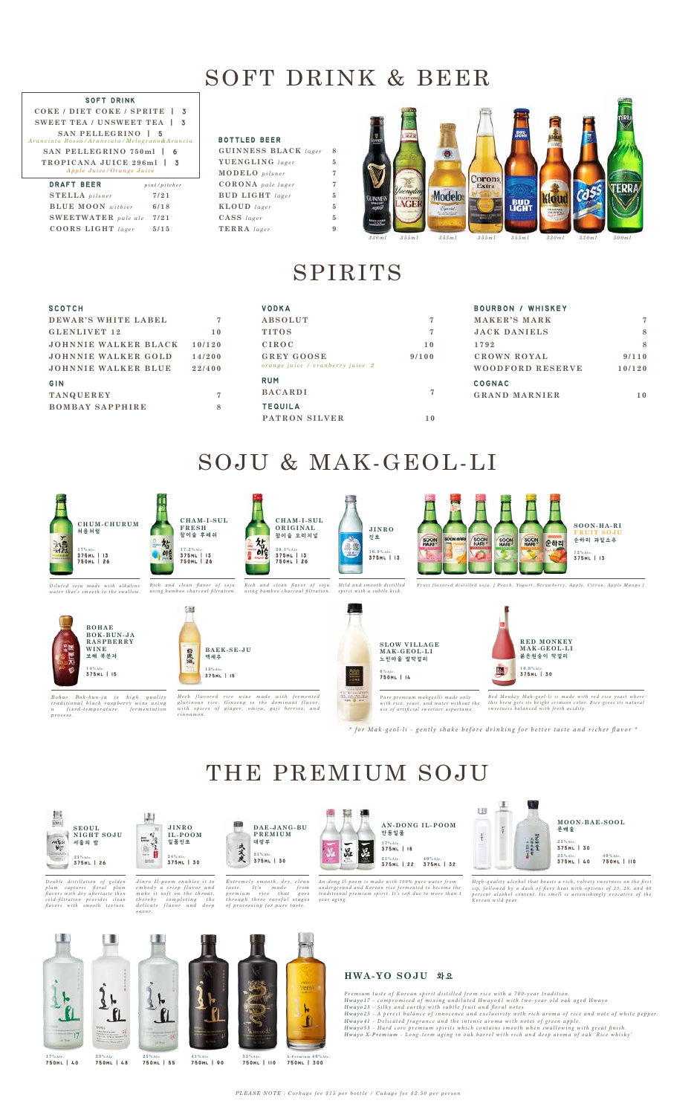# SOFT DRINK & BEER

| <b>GUINNESS BLACK</b> lager |
|-----------------------------|
| YUENGLING lager             |
| <b>MODELO</b> pilsner       |
| <b>CORONA</b> pale lager    |
| <b>BUD LIGHT</b> lager      |
| $KLOUD$ lager               |
| $CASS$ lager                |
| $TERRA$ lager               |
|                             |

## **SOFT DRINK**



# SPIRITS

| SCOTCH                 |        | <b>VODKA</b>                     |       | <b>BOURBON / WHISKEY</b> |        |
|------------------------|--------|----------------------------------|-------|--------------------------|--------|
| DEWAR'S WHITE LABEL    |        | ABSOLUT                          |       | MAKER'S MARK             | 7      |
| GLENLIVET 12           | 10     | <b>TITOS</b>                     |       | <b>JACK DANIELS</b>      | 8      |
| JOHNNIE WALKER BLACK   | 10/120 | <b>CIROC</b>                     | 10    | 1792                     | 8      |
| JOHNNIE WALKER GOLD    | 14/200 | <b>GREY GOOSE</b>                | 9/100 | CROWN ROYAL              | 9/110  |
| JOHNNIE WALKER BLUE    | 22/400 | orange juice / cranberry juice 2 |       | WOODFORD RESERVE         | 10/120 |
| <b>GIN</b>             |        | <b>RUM</b>                       |       | COGNAC                   |        |
| <b>TANQUEREY</b>       |        | <b>BACARDI</b>                   |       | <b>GRAND MARNIER</b>     | 10     |
| <b>BOMBAY SAPPHIRE</b> | 8      | <b>TEQUILA</b>                   |       |                          |        |
|                        |        | PATRON SILVER                    | 10    |                          |        |

# SOJU & MAK-GEOL-LI

# THE PREMIUM SOJU

## **HWA-YO SOJU** 화 요

Premium taste of Korean spirit distilled from rice with a 700-year tradition. Hwayo17 - compromised of mixing undiluted Hwayo41 with two-year old oak aged Hwayo. *Hwayo23 - Silky and earthy with subtle fruit and floral notes.<br>Hwayo25 - A perect balance of innocence and exclusivity with rich aroma of rice and note of white pepper.* Hwayo41 - Delicated fragrance and the intense aroma with notes of green apple. *Hwayo53 - Hard core premium spirits which contains smooth when swallowing with great finish.<br>Hwayo X-Premium - Long-term aging in oak barrel with rich and deep aroma of oak 'Rice whisky'.* 



*Jinro Il-poom enables it to embody a crisp flavor and make it soft on the throat, thereby completing the delicate flavor and deep savor.*





Double distillation of golden plum captures floral plum<br>flavors.with.dry.aftertaste.then<br>cold-filtration provides clean<br>flavors.with.smooth.texture. *Extremely smooth, dry, clean taste. It's made from premium rice that goes through three careful stages of processing for pure taste.* 

An-dong Il-poom is made with 100% pure water from underground and Korean rice fermented to become the<br>traditional premium spirit. It's soft due to more than 1 *year* aging.

High-quality alcohol that boasts a rich, velvety sweetness on the first sip, followed by a dash of fiery heat with options of 23, 25, and 40<br>percent alcohol content. Its smell is astonishingly evocative of the<br>Korean wild pear.

**COKE / DIET COKE / SPRITE SWEET TEA / UNSWEET TEA SAN PELLEGRINO**  *Aranciata Rossa/Aranciata/Melograno&Arancia* **SAN PELLEGRINO 750ml TROPICANA JUICE 296ml**  *Apple Juice/Orange Juice*

| <b>DRAFT BEER</b>          | $pi$ t/pitcher |
|----------------------------|----------------|
| <b>STELLA</b> pilsner      | 7/21           |
| <b>BLUE MOON</b> withier   | 6/18           |
| <b>SWEETWATER</b> pale ale | 7/21           |
| $COORS$ LIGHT lager        | 5/15           |

## **BOTTLED BEER**